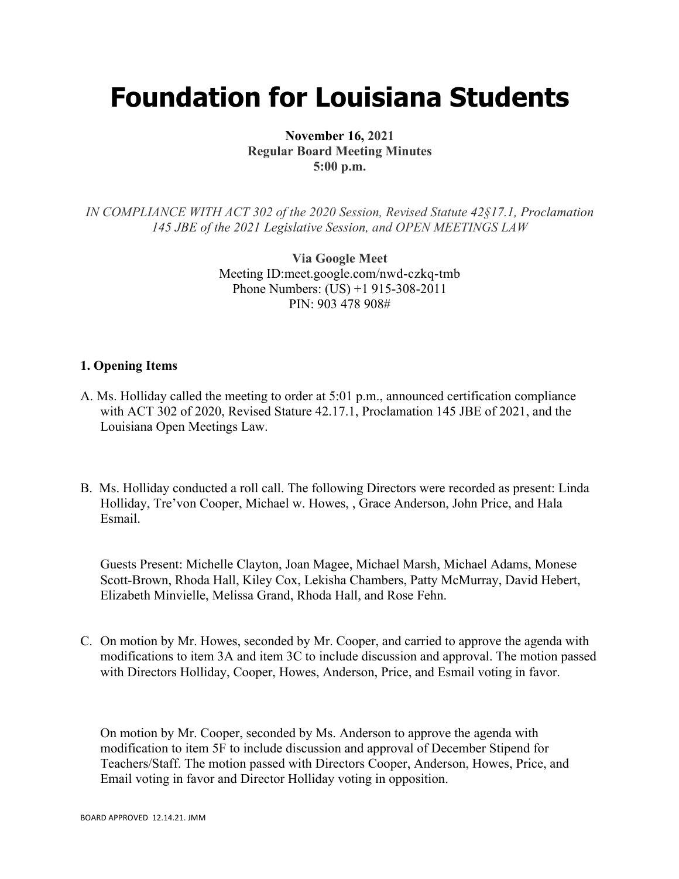# **Foundation for Louisiana Students**

**November 16, 2021 Regular Board Meeting Minutes 5:00 p.m.**

*IN COMPLIANCE WITH ACT 302 of the 2020 Session, Revised Statute 42§17.1, Proclamation 145 JBE of the 2021 Legislative Session, and OPEN MEETINGS LAW*

> **Via Google Meet**  Meeting ID:meet.google.com/nwd-czkq-tmb Phone Numbers: (US) +1 915-308-2011 PIN: 903 478 908#

#### **1. Opening Items**

- A. Ms. Holliday called the meeting to order at 5:01 p.m., announced certification compliance with ACT 302 of 2020, Revised Stature 42.17.1, Proclamation 145 JBE of 2021, and the Louisiana Open Meetings Law.
- B. Ms. Holliday conducted a roll call. The following Directors were recorded as present: Linda Holliday, Tre'von Cooper, Michael w. Howes, , Grace Anderson, John Price, and Hala Esmail.

Guests Present: Michelle Clayton, Joan Magee, Michael Marsh, Michael Adams, Monese Scott-Brown, Rhoda Hall, Kiley Cox, Lekisha Chambers, Patty McMurray, David Hebert, Elizabeth Minvielle, Melissa Grand, Rhoda Hall, and Rose Fehn.

C. On motion by Mr. Howes, seconded by Mr. Cooper, and carried to approve the agenda with modifications to item 3A and item 3C to include discussion and approval. The motion passed with Directors Holliday, Cooper, Howes, Anderson, Price, and Esmail voting in favor.

On motion by Mr. Cooper, seconded by Ms. Anderson to approve the agenda with modification to item 5F to include discussion and approval of December Stipend for Teachers/Staff. The motion passed with Directors Cooper, Anderson, Howes, Price, and Email voting in favor and Director Holliday voting in opposition.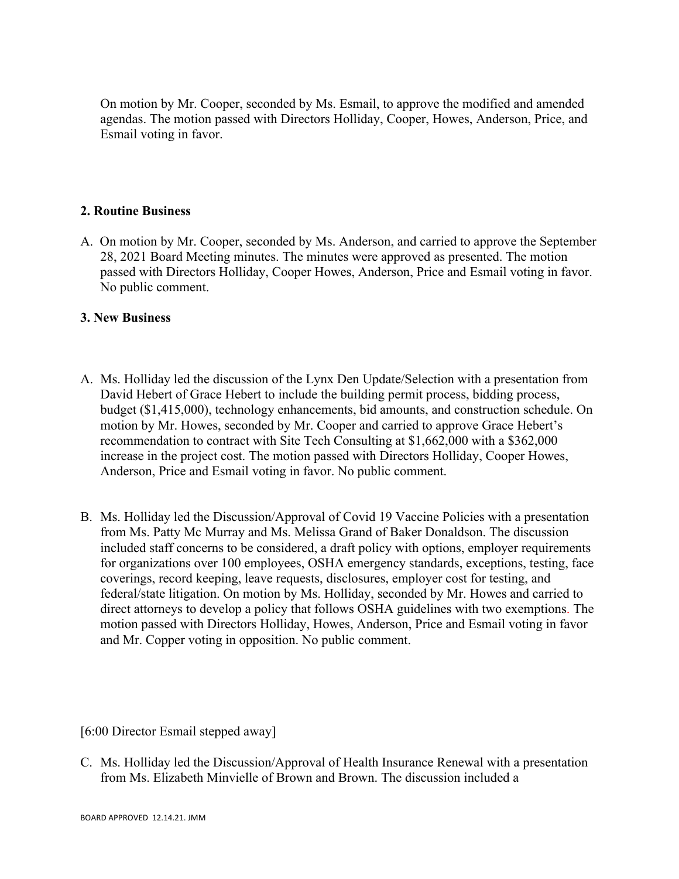On motion by Mr. Cooper, seconded by Ms. Esmail, to approve the modified and amended agendas. The motion passed with Directors Holliday, Cooper, Howes, Anderson, Price, and Esmail voting in favor.

### **2. Routine Business**

A. On motion by Mr. Cooper, seconded by Ms. Anderson, and carried to approve the September 28, 2021 Board Meeting minutes. The minutes were approved as presented. The motion passed with Directors Holliday, Cooper Howes, Anderson, Price and Esmail voting in favor. No public comment.

#### **3. New Business**

- A. Ms. Holliday led the discussion of the Lynx Den Update/Selection with a presentation from David Hebert of Grace Hebert to include the building permit process, bidding process, budget (\$1,415,000), technology enhancements, bid amounts, and construction schedule. On motion by Mr. Howes, seconded by Mr. Cooper and carried to approve Grace Hebert's recommendation to contract with Site Tech Consulting at \$1,662,000 with a \$362,000 increase in the project cost. The motion passed with Directors Holliday, Cooper Howes, Anderson, Price and Esmail voting in favor. No public comment.
- B. Ms. Holliday led the Discussion/Approval of Covid 19 Vaccine Policies with a presentation from Ms. Patty Mc Murray and Ms. Melissa Grand of Baker Donaldson. The discussion included staff concerns to be considered, a draft policy with options, employer requirements for organizations over 100 employees, OSHA emergency standards, exceptions, testing, face coverings, record keeping, leave requests, disclosures, employer cost for testing, and federal/state litigation. On motion by Ms. Holliday, seconded by Mr. Howes and carried to direct attorneys to develop a policy that follows OSHA guidelines with two exemptions. The motion passed with Directors Holliday, Howes, Anderson, Price and Esmail voting in favor and Mr. Copper voting in opposition. No public comment.

[6:00 Director Esmail stepped away]

C. Ms. Holliday led the Discussion/Approval of Health Insurance Renewal with a presentation from Ms. Elizabeth Minvielle of Brown and Brown. The discussion included a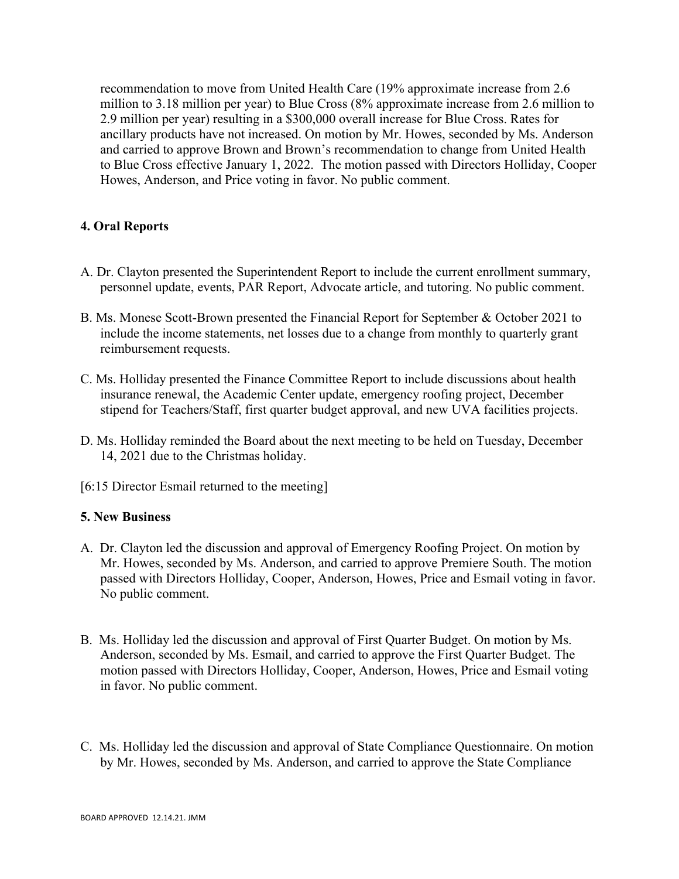recommendation to move from United Health Care (19% approximate increase from 2.6 million to 3.18 million per year) to Blue Cross (8% approximate increase from 2.6 million to 2.9 million per year) resulting in a \$300,000 overall increase for Blue Cross. Rates for ancillary products have not increased. On motion by Mr. Howes, seconded by Ms. Anderson and carried to approve Brown and Brown's recommendation to change from United Health to Blue Cross effective January 1, 2022. The motion passed with Directors Holliday, Cooper Howes, Anderson, and Price voting in favor. No public comment.

## **4. Oral Reports**

- A. Dr. Clayton presented the Superintendent Report to include the current enrollment summary, personnel update, events, PAR Report, Advocate article, and tutoring. No public comment.
- B. Ms. Monese Scott-Brown presented the Financial Report for September & October 2021 to include the income statements, net losses due to a change from monthly to quarterly grant reimbursement requests.
- C. Ms. Holliday presented the Finance Committee Report to include discussions about health insurance renewal, the Academic Center update, emergency roofing project, December stipend for Teachers/Staff, first quarter budget approval, and new UVA facilities projects.
- D. Ms. Holliday reminded the Board about the next meeting to be held on Tuesday, December 14, 2021 due to the Christmas holiday.
- [6:15 Director Esmail returned to the meeting]

#### **5. New Business**

- A. Dr. Clayton led the discussion and approval of Emergency Roofing Project. On motion by Mr. Howes, seconded by Ms. Anderson, and carried to approve Premiere South. The motion passed with Directors Holliday, Cooper, Anderson, Howes, Price and Esmail voting in favor. No public comment.
- B. Ms. Holliday led the discussion and approval of First Quarter Budget. On motion by Ms. Anderson, seconded by Ms. Esmail, and carried to approve the First Quarter Budget. The motion passed with Directors Holliday, Cooper, Anderson, Howes, Price and Esmail voting in favor. No public comment.
- C. Ms. Holliday led the discussion and approval of State Compliance Questionnaire. On motion by Mr. Howes, seconded by Ms. Anderson, and carried to approve the State Compliance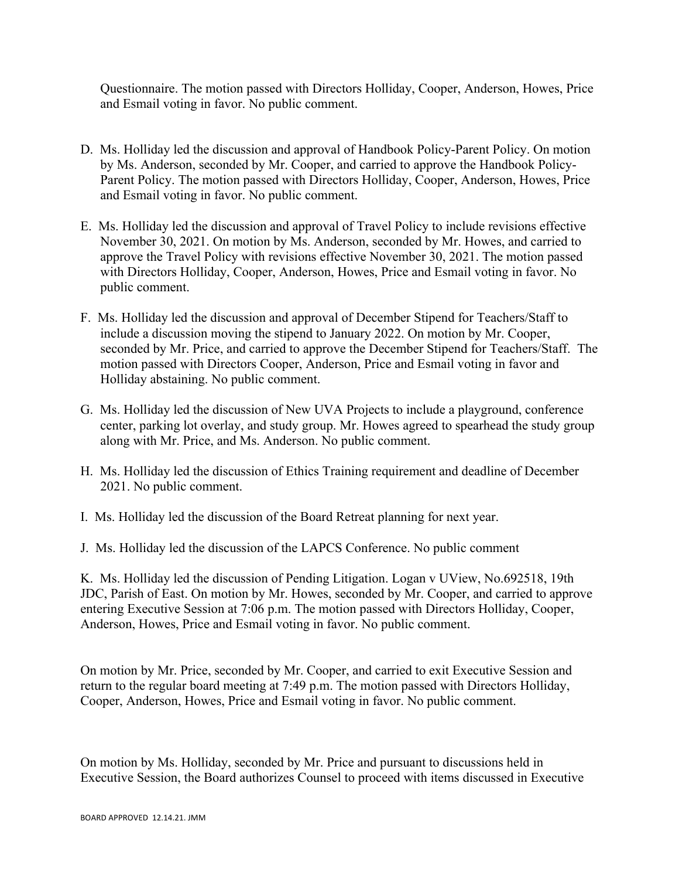Questionnaire. The motion passed with Directors Holliday, Cooper, Anderson, Howes, Price and Esmail voting in favor. No public comment.

- D. Ms. Holliday led the discussion and approval of Handbook Policy-Parent Policy. On motion by Ms. Anderson, seconded by Mr. Cooper, and carried to approve the Handbook Policy-Parent Policy. The motion passed with Directors Holliday, Cooper, Anderson, Howes, Price and Esmail voting in favor. No public comment.
- E. Ms. Holliday led the discussion and approval of Travel Policy to include revisions effective November 30, 2021. On motion by Ms. Anderson, seconded by Mr. Howes, and carried to approve the Travel Policy with revisions effective November 30, 2021. The motion passed with Directors Holliday, Cooper, Anderson, Howes, Price and Esmail voting in favor. No public comment.
- F. Ms. Holliday led the discussion and approval of December Stipend for Teachers/Staff to include a discussion moving the stipend to January 2022. On motion by Mr. Cooper, seconded by Mr. Price, and carried to approve the December Stipend for Teachers/Staff. The motion passed with Directors Cooper, Anderson, Price and Esmail voting in favor and Holliday abstaining. No public comment.
- G. Ms. Holliday led the discussion of New UVA Projects to include a playground, conference center, parking lot overlay, and study group. Mr. Howes agreed to spearhead the study group along with Mr. Price, and Ms. Anderson. No public comment.
- H. Ms. Holliday led the discussion of Ethics Training requirement and deadline of December 2021. No public comment.
- I. Ms. Holliday led the discussion of the Board Retreat planning for next year.
- J. Ms. Holliday led the discussion of the LAPCS Conference. No public comment

K. Ms. Holliday led the discussion of Pending Litigation. Logan v UView, No.692518, 19th JDC, Parish of East. On motion by Mr. Howes, seconded by Mr. Cooper, and carried to approve entering Executive Session at 7:06 p.m. The motion passed with Directors Holliday, Cooper, Anderson, Howes, Price and Esmail voting in favor. No public comment.

On motion by Mr. Price, seconded by Mr. Cooper, and carried to exit Executive Session and return to the regular board meeting at 7:49 p.m. The motion passed with Directors Holliday, Cooper, Anderson, Howes, Price and Esmail voting in favor. No public comment.

On motion by Ms. Holliday, seconded by Mr. Price and pursuant to discussions held in Executive Session, the Board authorizes Counsel to proceed with items discussed in Executive